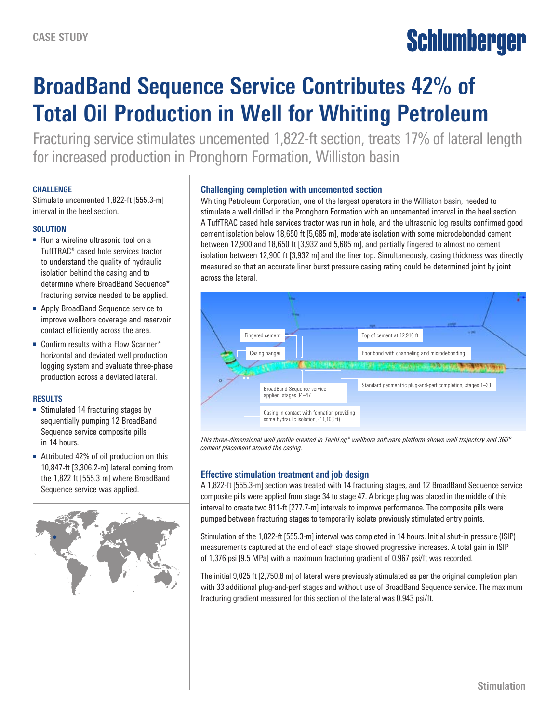# **Schlumberger**

## **BroadBand Sequence Service Contributes 42% of Total Oil Production in Well for Whiting Petroleum**

Fracturing service stimulates uncemented 1,822-ft section, treats 17% of lateral length for increased production in Pronghorn Formation, Williston basin

#### **CHALLENGE**

Stimulate uncemented 1,822-ft [555.3-m] interval in the heel section.

#### **SOLUTION**

- Run a wireline ultrasonic tool on a TuffTRAC\* cased hole services tractor to understand the quality of hydraulic isolation behind the casing and to determine where BroadBand Sequence\* fracturing service needed to be applied.
- Apply BroadBand Sequence service to improve wellbore coverage and reservoir contact efficiently across the area.
- Confirm results with a Flow Scanner\* horizontal and deviated well production logging system and evaluate three-phase production across a deviated lateral.

#### **RESULTS**

- Stimulated 14 fracturing stages by sequentially pumping 12 BroadBand Sequence service composite pills in 14 hours.
- Attributed 42% of oil production on this 10,847-ft [3,306.2-m] lateral coming from the 1,822 ft [555.3 m] where BroadBand Sequence service was applied.



#### **Challenging completion with uncemented section**

Whiting Petroleum Corporation, one of the largest operators in the Williston basin, needed to stimulate a well drilled in the Pronghorn Formation with an uncemented interval in the heel section. A TuffTRAC cased hole services tractor was run in hole, and the ultrasonic log results confirmed good cement isolation below 18,650 ft [5,685 m], moderate isolation with some microdebonded cement between 12,900 and 18,650 ft [3,932 and 5,685 m], and partially fingered to almost no cement isolation between 12,900 ft [3,932 m] and the liner top. Simultaneously, casing thickness was directly measured so that an accurate liner burst pressure casing rating could be determined joint by joint across the lateral.



*This three-dimensional well profile created in TechLog\* wellbore software platform shows well trajectory and 360° cement placement around the casing.*

### **Effective stimulation treatment and job design**

A 1,822-ft [555.3-m] section was treated with 14 fracturing stages, and 12 BroadBand Sequence service composite pills were applied from stage 34 to stage 47. A bridge plug was placed in the middle of this interval to create two 911-ft [277.7-m] intervals to improve performance. The composite pills were pumped between fracturing stages to temporarily isolate previously stimulated entry points.

Stimulation of the 1,822-ft [555.3-m] interval was completed in 14 hours. Initial shut-in pressure (ISIP) measurements captured at the end of each stage showed progressive increases. A total gain in ISIP of 1,376 psi [9.5 MPa] with a maximum fracturing gradient of 0.967 psi/ft was recorded.

The initial 9,025 ft [2,750.8 m] of lateral were previously stimulated as per the original completion plan with 33 additional plug-and-perf stages and without use of BroadBand Sequence service. The maximum fracturing gradient measured for this section of the lateral was 0.943 psi/ft.